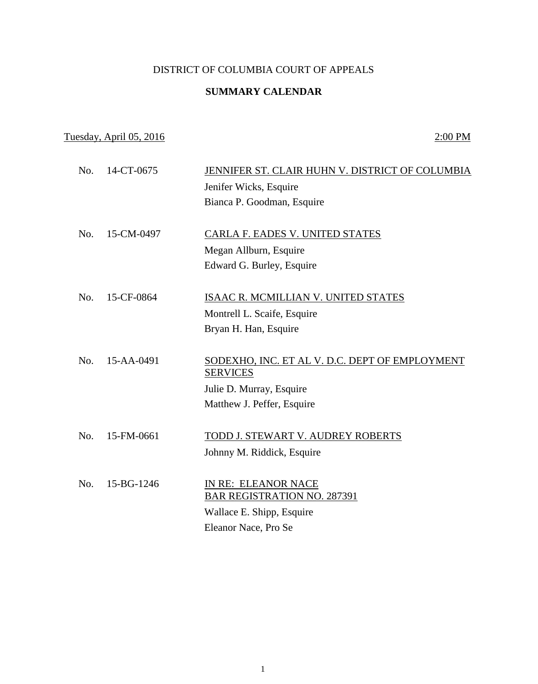## DISTRICT OF COLUMBIA COURT OF APPEALS

### **SUMMARY CALENDAR**

# Tuesday, April 05, 2016 2:00 PM

| No. | 14-CT-0675 | JENNIFER ST. CLAIR HUHN V. DISTRICT OF COLUMBIA                   |
|-----|------------|-------------------------------------------------------------------|
|     |            | Jenifer Wicks, Esquire                                            |
|     |            | Bianca P. Goodman, Esquire                                        |
|     |            |                                                                   |
| No. | 15-CM-0497 | CARLA F. EADES V. UNITED STATES                                   |
|     |            | Megan Allburn, Esquire                                            |
|     |            | Edward G. Burley, Esquire                                         |
|     |            |                                                                   |
| No. | 15-CF-0864 | ISAAC R. MCMILLIAN V. UNITED STATES                               |
|     |            | Montrell L. Scaife, Esquire                                       |
|     |            | Bryan H. Han, Esquire                                             |
|     |            |                                                                   |
| No. | 15-AA-0491 | SODEXHO, INC. ET AL V. D.C. DEPT OF EMPLOYMENT<br><b>SERVICES</b> |
|     |            | Julie D. Murray, Esquire                                          |
|     |            | Matthew J. Peffer, Esquire                                        |
|     |            |                                                                   |
| No. | 15-FM-0661 | TODD J. STEWART V. AUDREY ROBERTS                                 |
|     |            | Johnny M. Riddick, Esquire                                        |
|     |            |                                                                   |
| No. | 15-BG-1246 | IN RE: ELEANOR NACE                                               |
|     |            | <b>BAR REGISTRATION NO. 287391</b>                                |
|     |            | Wallace E. Shipp, Esquire                                         |
|     |            | Eleanor Nace, Pro Se                                              |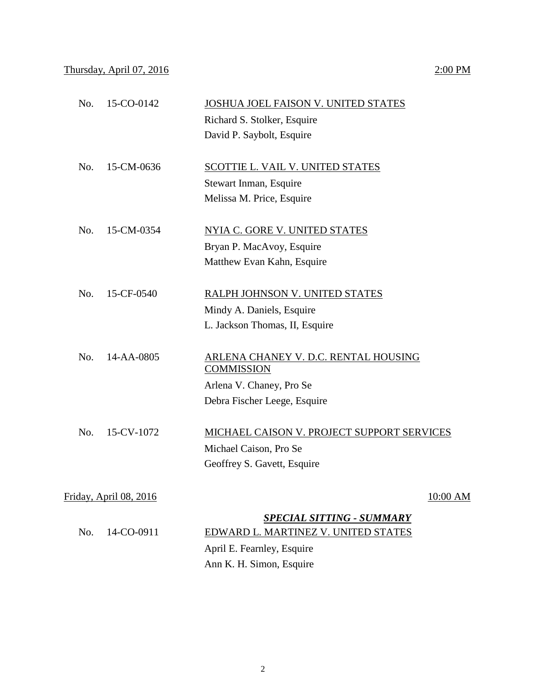|     |                                | Richard S. Stolker, Esquire                               |          |
|-----|--------------------------------|-----------------------------------------------------------|----------|
|     |                                | David P. Saybolt, Esquire                                 |          |
|     |                                |                                                           |          |
| No. | 15-CM-0636                     | <b>SCOTTIE L. VAIL V. UNITED STATES</b>                   |          |
|     |                                | Stewart Inman, Esquire                                    |          |
|     |                                | Melissa M. Price, Esquire                                 |          |
| No. | 15-CM-0354                     | <b>NYIA C. GORE V. UNITED STATES</b>                      |          |
|     |                                | Bryan P. MacAvoy, Esquire                                 |          |
|     |                                | Matthew Evan Kahn, Esquire                                |          |
|     |                                |                                                           |          |
| No. | 15-CF-0540                     | RALPH JOHNSON V. UNITED STATES                            |          |
|     |                                | Mindy A. Daniels, Esquire                                 |          |
|     |                                | L. Jackson Thomas, II, Esquire                            |          |
|     |                                |                                                           |          |
| No. | 14-AA-0805                     | ARLENA CHANEY V. D.C. RENTAL HOUSING<br><b>COMMISSION</b> |          |
|     |                                | Arlena V. Chaney, Pro Se                                  |          |
|     |                                | Debra Fischer Leege, Esquire                              |          |
|     |                                |                                                           |          |
| No. | 15-CV-1072                     | MICHAEL CAISON V. PROJECT SUPPORT SERVICES                |          |
|     |                                | Michael Caison, Pro Se                                    |          |
|     |                                | Geoffrey S. Gavett, Esquire                               |          |
|     |                                |                                                           |          |
|     | <u> Friday, April 08, 2016</u> |                                                           | 10:00 AM |
|     |                                | <b>SPECIAL SITTING - SUMMARY</b>                          |          |
| No. | 14-CO-0911                     | EDWARD L. MARTINEZ V. UNITED STATES                       |          |
|     |                                | April E. Fearnley, Esquire                                |          |
|     |                                | Ann K. H. Simon, Esquire                                  |          |

No. 15-CO-0142 JOSHUA JOEL FAISON V. UNITED STATES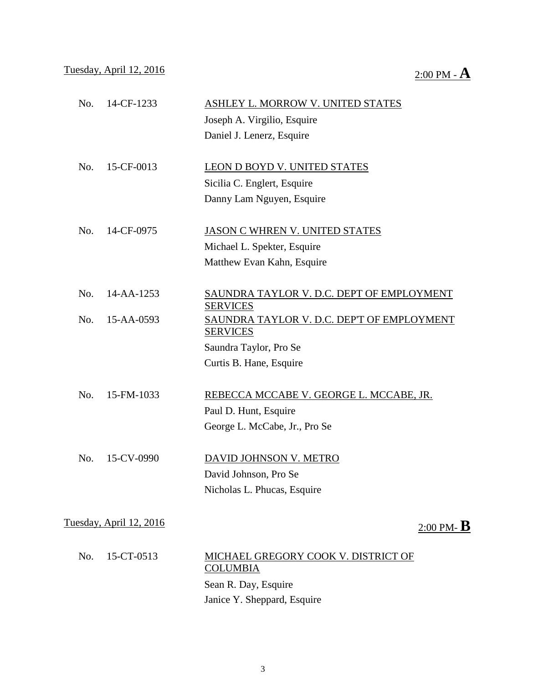| No. | 14-CF-1233                     | ASHLEY L. MORROW V. UNITED STATES                             |
|-----|--------------------------------|---------------------------------------------------------------|
|     |                                | Joseph A. Virgilio, Esquire                                   |
|     |                                | Daniel J. Lenerz, Esquire                                     |
| No. | 15-CF-0013                     | LEON D BOYD V. UNITED STATES                                  |
|     |                                | Sicilia C. Englert, Esquire                                   |
|     |                                | Danny Lam Nguyen, Esquire                                     |
| No. | 14-CF-0975                     | <b>JASON C WHREN V. UNITED STATES</b>                         |
|     |                                | Michael L. Spekter, Esquire                                   |
|     |                                | Matthew Evan Kahn, Esquire                                    |
| No. | 14-AA-1253                     | SAUNDRA TAYLOR V. D.C. DEPT OF EMPLOYMENT<br><b>SERVICES</b>  |
| No. | 15-AA-0593                     | SAUNDRA TAYLOR V. D.C. DEP'T OF EMPLOYMENT<br><b>SERVICES</b> |
|     |                                | Saundra Taylor, Pro Se                                        |
|     |                                | Curtis B. Hane, Esquire                                       |
| No. | 15-FM-1033                     | REBECCA MCCABE V. GEORGE L. MCCABE, JR.                       |
|     |                                | Paul D. Hunt, Esquire                                         |
|     |                                | George L. McCabe, Jr., Pro Se                                 |
| No. | 15-CV-0990                     | DAVID JOHNSON V. METRO                                        |
|     |                                | David Johnson, Pro Se                                         |
|     |                                | Nicholas L. Phucas, Esquire                                   |
|     | <u>Tuesday, April 12, 2016</u> | $2:00$ PM- $\bf{B}$                                           |
|     |                                |                                                               |
| No. | 15-CT-0513                     | MICHAEL GREGORY COOK V. DISTRICT OF<br><b>COLUMBIA</b>        |
|     |                                | Sean R. Day, Esquire                                          |
|     |                                | Janice Y. Sheppard, Esquire                                   |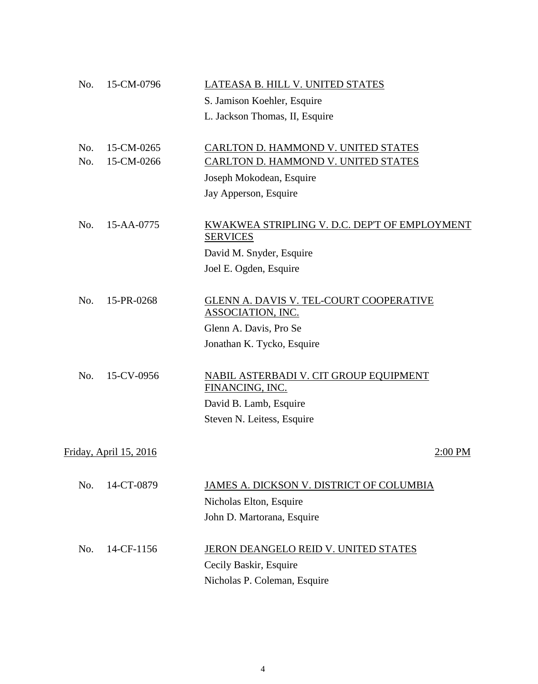| No. | 15-CM-0796                    | LATEASA B. HILL V. UNITED STATES                                    |
|-----|-------------------------------|---------------------------------------------------------------------|
|     |                               | S. Jamison Koehler, Esquire                                         |
|     |                               | L. Jackson Thomas, II, Esquire                                      |
| No. | 15-CM-0265                    | CARLTON D. HAMMOND V. UNITED STATES                                 |
| No. | 15-CM-0266                    | <b>CARLTON D. HAMMOND V. UNITED STATES</b>                          |
|     |                               | Joseph Mokodean, Esquire                                            |
|     |                               | Jay Apperson, Esquire                                               |
| No. | 15-AA-0775                    | KWAKWEA STRIPLING V. D.C. DEP'T OF EMPLOYMENT<br><b>SERVICES</b>    |
|     |                               | David M. Snyder, Esquire                                            |
|     |                               | Joel E. Ogden, Esquire                                              |
| No. | 15-PR-0268                    | GLENN A. DAVIS V. TEL-COURT COOPERATIVE<br><b>ASSOCIATION, INC.</b> |
|     |                               | Glenn A. Davis, Pro Se                                              |
|     |                               | Jonathan K. Tycko, Esquire                                          |
| No. | 15-CV-0956                    | <b>NABIL ASTERBADI V. CIT GROUP EQUIPMENT</b><br>FINANCING, INC.    |
|     |                               | David B. Lamb, Esquire                                              |
|     |                               | Steven N. Leitess, Esquire                                          |
|     | <u>Friday, April 15, 2016</u> | 2:00 PM                                                             |
| No. | 14-CT-0879                    | JAMES A. DICKSON V. DISTRICT OF COLUMBIA                            |
|     |                               | Nicholas Elton, Esquire                                             |
|     |                               | John D. Martorana, Esquire                                          |
|     |                               |                                                                     |
| No. | 14-CF-1156                    | JERON DEANGELO REID V. UNITED STATES                                |
|     |                               | Cecily Baskir, Esquire                                              |
|     |                               | Nicholas P. Coleman, Esquire                                        |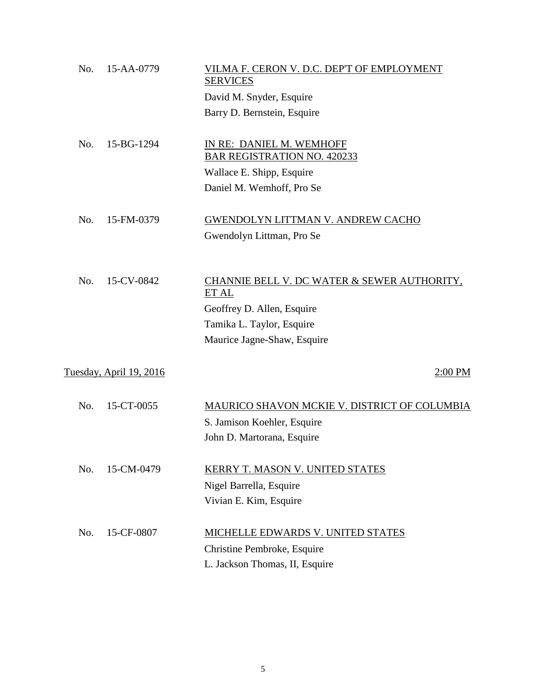| No. | 15-AA-0779                     | VILMA F. CERON V. D.C. DEP'T OF EMPLOYMENT<br><b>SERVICES</b> |
|-----|--------------------------------|---------------------------------------------------------------|
|     |                                | David M. Snyder, Esquire                                      |
|     |                                | Barry D. Bernstein, Esquire                                   |
| No. | 15-BG-1294                     | IN RE: DANIEL M. WEMHOFF                                      |
|     |                                | <b>BAR REGISTRATION NO. 420233</b>                            |
|     |                                | Wallace E. Shipp, Esquire                                     |
|     |                                | Daniel M. Wemhoff, Pro Se                                     |
| No. | 15-FM-0379                     | <b>GWENDOLYN LITTMAN V. ANDREW CACHO</b>                      |
|     |                                | Gwendolyn Littman, Pro Se                                     |
|     |                                |                                                               |
| No. | 15-CV-0842                     | CHANNIE BELL V. DC WATER & SEWER AUTHORITY,<br>ET AL          |
|     |                                | Geoffrey D. Allen, Esquire                                    |
|     |                                | Tamika L. Taylor, Esquire                                     |
|     |                                | Maurice Jagne-Shaw, Esquire                                   |
|     |                                |                                                               |
|     | <u>Tuesday, April 19, 2016</u> | $2:00$ PM                                                     |
| No. | 15-CT-0055                     | MAURICO SHAVON MCKIE V. DISTRICT OF COLUMBIA                  |
|     |                                | S. Jamison Koehler, Esquire                                   |
|     |                                | John D. Martorana, Esquire                                    |
| No. | 15-CM-0479                     | <b>KERRY T. MASON V. UNITED STATES</b>                        |
|     |                                | Nigel Barrella, Esquire                                       |
|     |                                | Vivian E. Kim, Esquire                                        |
| No. | 15-CF-0807                     | MICHELLE EDWARDS V. UNITED STATES                             |
|     |                                | Christine Pembroke, Esquire                                   |
|     |                                | L. Jackson Thomas, II, Esquire                                |
|     |                                |                                                               |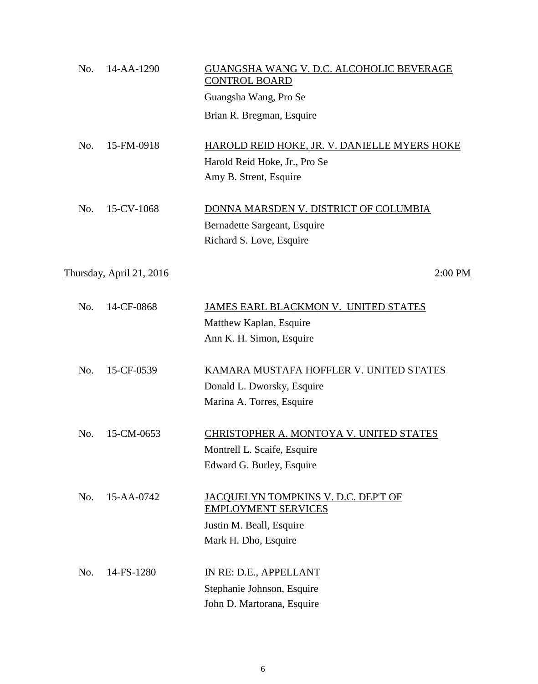| No. | 14-AA-1290               | GUANGSHA WANG V. D.C. ALCOHOLIC BEVERAGE<br><b>CONTROL BOARD</b> |
|-----|--------------------------|------------------------------------------------------------------|
|     |                          | Guangsha Wang, Pro Se                                            |
|     |                          | Brian R. Bregman, Esquire                                        |
| No. | 15-FM-0918               | HAROLD REID HOKE, JR. V. DANIELLE MYERS HOKE                     |
|     |                          | Harold Reid Hoke, Jr., Pro Se                                    |
|     |                          | Amy B. Strent, Esquire                                           |
| No. | 15-CV-1068               | DONNA MARSDEN V. DISTRICT OF COLUMBIA                            |
|     |                          | Bernadette Sargeant, Esquire                                     |
|     |                          | Richard S. Love, Esquire                                         |
|     | Thursday, April 21, 2016 | 2:00 PM                                                          |
| No. | 14-CF-0868               | JAMES EARL BLACKMON V. UNITED STATES                             |
|     |                          | Matthew Kaplan, Esquire                                          |
|     |                          | Ann K. H. Simon, Esquire                                         |
| No. | 15-CF-0539               | KAMARA MUSTAFA HOFFLER V. UNITED STATES                          |
|     |                          | Donald L. Dworsky, Esquire                                       |
|     |                          | Marina A. Torres, Esquire                                        |
| No. | 15-CM-0653               | CHRISTOPHER A. MONTOYA V. UNITED STATES                          |
|     |                          | Montrell L. Scaife, Esquire                                      |
|     |                          | Edward G. Burley, Esquire                                        |
| No. | 15-AA-0742               | JACQUELYN TOMPKINS V. D.C. DEP'T OF                              |
|     |                          | <b>EMPLOYMENT SERVICES</b>                                       |
|     |                          | Justin M. Beall, Esquire                                         |
|     |                          | Mark H. Dho, Esquire                                             |
| No. | 14-FS-1280               | IN RE: D.E., APPELLANT                                           |
|     |                          | Stephanie Johnson, Esquire                                       |
|     |                          | John D. Martorana, Esquire                                       |